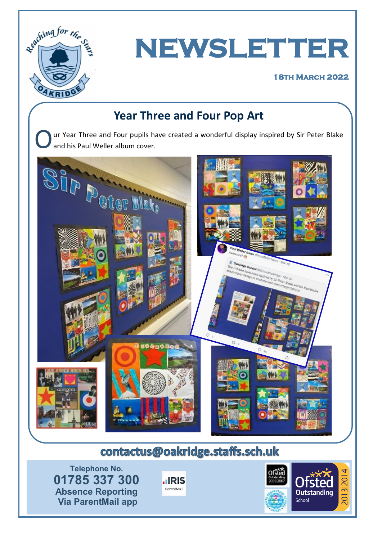

# **NEWSLETTER**

#### **18th March 2022**

### **Year Three and Four Pop Art**

O ur Year Three and Four pupils have created a wonderful display inspired by Sir Peter Blake and his Paul Weller album cover.



## contactus@oakridge.staffs.sch.uk

**Telephone No. 01785 337 300 Absence Reporting Via ParentMail app**



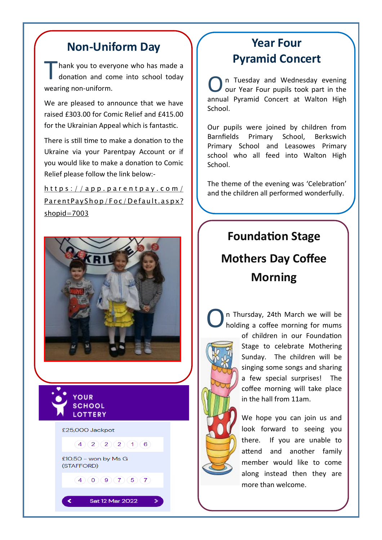#### **Non-Uniform Day**

T hank you to everyone who has made a donation and come into school today wearing non-uniform.

We are pleased to announce that we have raised £303.00 for Comic Relief and £415.00 for the Ukrainian Appeal which is fantastic.

There is still time to make a donation to the Ukraine via your Parentpay Account or if you would like to make a donation to Comic Relief please follow the link below:-

 $h$ ttps://app.parentpay.com/ Par ent Pay Shop / Foc / Default. as px? [shopid=7003](https://app.parentpay.com/ParentPayShop/Foc/Default.aspx?shopid=7003)





∢

£25,000 Jackpot

 $4)(2)(2)(2)(1)(6)$ 

 $4(0)(9)(7)(5)(7)$ 

Sat 12 Mar 2022

£10.50 - won by Ms G (STAFFORD)

#### **Year Four Pyramid Concert**

O n Tuesday and Wednesday evening our Year Four pupils took part in the annual Pyramid Concert at Walton High School.

Our pupils were joined by children from Barnfields Primary School, Berkswich Primary School and Leasowes Primary school who all feed into Walton High School.

The theme of the evening was 'Celebration' and the children all performed wonderfully.

## **Foundation Stage Mothers Day Coffee Morning**

O

n Thursday, 24th March we will be holding a coffee morning for mums of children in our Foundation Stage to celebrate Mothering Sunday. The children will be singing some songs and sharing a few special surprises! The coffee morning will take place in the hall from 11am.

> We hope you can join us and look forward to seeing you there. If you are unable to attend and another family member would like to come along instead then they are more than welcome.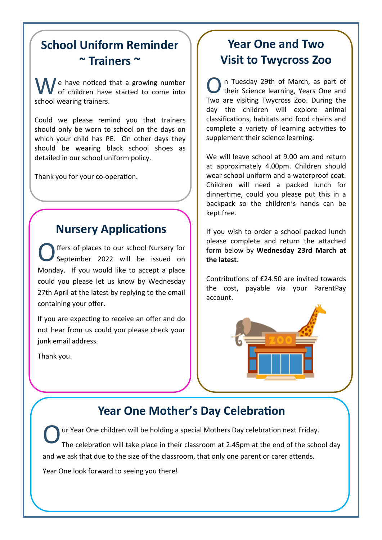## **School Uniform Reminder ~ Trainers ~**

 $\bigwedge$  e have noticed that a growing number of children have started to come into school wearing trainers.

Could we please remind you that trainers should only be worn to school on the days on which your child has PE. On other days they should be wearing black school shoes as detailed in our school uniform policy.

Thank you for your co-operation.

#### **Nursery Applications**

O ffers of places to our school Nursery for September 2022 will be issued on Monday. If you would like to accept a place could you please let us know by Wednesday 27th April at the latest by replying to the email containing your offer.

If you are expecting to receive an offer and do not hear from us could you please check your junk email address.

Thank you.

### **Year One and Two Visit to Twycross Zoo**

O n Tuesday 29th of March, as part of their Science learning, Years One and Two are visiting Twycross Zoo. During the day the children will explore animal classifications, habitats and food chains and complete a variety of learning activities to supplement their science learning.

We will leave school at 9.00 am and return at approximately 4.00pm. Children should wear school uniform and a waterproof coat. Children will need a packed lunch for dinnertime, could you please put this in a backpack so the children's hands can be kept free.

If you wish to order a school packed lunch please complete and return the attached form below by **Wednesday 23rd March at the latest**.

Contributions of £24.50 are invited towards the cost, payable via your ParentPay account.



#### **Year One Mother's Day Celebration**

O ur Year One children will be holding a special Mothers Day celebration next Friday. The celebration will take place in their classroom at 2.45pm at the end of the school day and we ask that due to the size of the classroom, that only one parent or carer attends.

Year One look forward to seeing you there!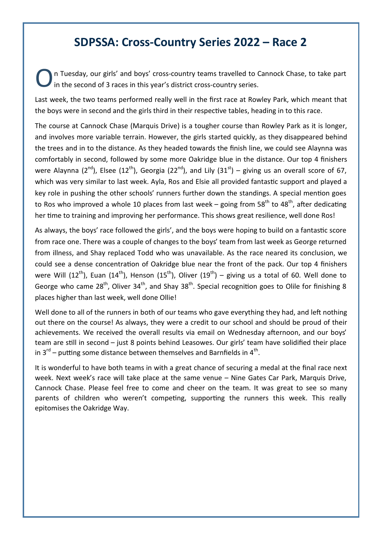#### **SDPSSA: Cross-Country Series 2022 – Race 2**

O n Tuesday, our girls' and boys' cross-country teams travelled to Cannock Chase, to take part in the second of 3 races in this year's district cross-country series.

Last week, the two teams performed really well in the first race at Rowley Park, which meant that the boys were in second and the girls third in their respective tables, heading in to this race.

The course at Cannock Chase (Marquis Drive) is a tougher course than Rowley Park as it is longer, and involves more variable terrain. However, the girls started quickly, as they disappeared behind the trees and in to the distance. As they headed towards the finish line, we could see Alaynna was comfortably in second, followed by some more Oakridge blue in the distance. Our top 4 finishers were Alaynna (2<sup>nd</sup>), Elsee (12<sup>th</sup>), Georgia (22<sup>nd</sup>), and Lily (31<sup>st</sup>) – giving us an overall score of 67, which was very similar to last week. Ayla, Ros and Elsie all provided fantastic support and played a key role in pushing the other schools' runners further down the standings. A special mention goes to Ros who improved a whole 10 places from last week – going from  $58<sup>th</sup>$  to  $48<sup>th</sup>$ , after dedicating her time to training and improving her performance. This shows great resilience, well done Ros!

As always, the boys' race followed the girls', and the boys were hoping to build on a fantastic score from race one. There was a couple of changes to the boys' team from last week as George returned from illness, and Shay replaced Todd who was unavailable. As the race neared its conclusion, we could see a dense concentration of Oakridge blue near the front of the pack. Our top 4 finishers were Will (12<sup>th</sup>), Euan (14<sup>th</sup>), Henson (15<sup>th</sup>), Oliver (19<sup>th</sup>) – giving us a total of 60. Well done to George who came 28<sup>th</sup>, Oliver 34<sup>th</sup>, and Shay 38<sup>th</sup>. Special recognition goes to Olile for finishing 8 places higher than last week, well done Ollie!

Well done to all of the runners in both of our teams who gave everything they had, and left nothing out there on the course! As always, they were a credit to our school and should be proud of their achievements. We received the overall results via email on Wednesday afternoon, and our boys' team are still in second – just 8 points behind Leasowes. Our girls' team have solidified their place in 3<sup>rd</sup> – putting some distance between themselves and Barnfields in 4<sup>th</sup>.

It is wonderful to have both teams in with a great chance of securing a medal at the final race next week. Next week's race will take place at the same venue – Nine Gates Car Park, Marquis Drive, Cannock Chase. Please feel free to come and cheer on the team. It was great to see so many parents of children who weren't competing, supporting the runners this week. This really epitomises the Oakridge Way.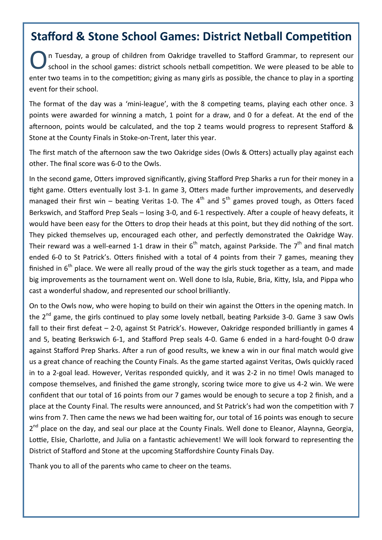#### **Stafford & Stone School Games: District Netball Competition**

O n Tuesday, a group of children from Oakridge travelled to Stafford Grammar, to represent our school in the school games: district schools netball competition. We were pleased to be able to enter two teams in to the competition; giving as many girls as possible, the chance to play in a sporting event for their school.

The format of the day was a 'mini-league', with the 8 competing teams, playing each other once. 3 points were awarded for winning a match, 1 point for a draw, and 0 for a defeat. At the end of the afternoon, points would be calculated, and the top 2 teams would progress to represent Stafford & Stone at the County Finals in Stoke-on-Trent, later this year.

The first match of the afternoon saw the two Oakridge sides (Owls & Otters) actually play against each other. The final score was 6-0 to the Owls.

In the second game, Otters improved significantly, giving Stafford Prep Sharks a run for their money in a tight game. Otters eventually lost 3-1. In game 3, Otters made further improvements, and deservedly managed their first win – beating Veritas 1-0. The  $4<sup>th</sup>$  and  $5<sup>th</sup>$  games proved tough, as Otters faced Berkswich, and Stafford Prep Seals – losing 3-0, and 6-1 respectively. After a couple of heavy defeats, it would have been easy for the Otters to drop their heads at this point, but they did nothing of the sort. They picked themselves up, encouraged each other, and perfectly demonstrated the Oakridge Way. Their reward was a well-earned 1-1 draw in their  $6<sup>th</sup>$  match, against Parkside. The  $7<sup>th</sup>$  and final match ended 6-0 to St Patrick's. Otters finished with a total of 4 points from their 7 games, meaning they finished in  $6<sup>th</sup>$  place. We were all really proud of the way the girls stuck together as a team, and made big improvements as the tournament went on. Well done to Isla, Rubie, Bria, Kitty, Isla, and Pippa who cast a wonderful shadow, and represented our school brilliantly.

On to the Owls now, who were hoping to build on their win against the Otters in the opening match. In the  $2^{nd}$  game, the girls continued to play some lovely netball, beating Parkside 3-0. Game 3 saw Owls fall to their first defeat – 2-0, against St Patrick's. However, Oakridge responded brilliantly in games 4 and 5, beating Berkswich 6-1, and Stafford Prep seals 4-0. Game 6 ended in a hard-fought 0-0 draw against Stafford Prep Sharks. After a run of good results, we knew a win in our final match would give us a great chance of reaching the County Finals. As the game started against Veritas, Owls quickly raced in to a 2-goal lead. However, Veritas responded quickly, and it was 2-2 in no time! Owls managed to compose themselves, and finished the game strongly, scoring twice more to give us 4-2 win. We were confident that our total of 16 points from our 7 games would be enough to secure a top 2 finish, and a place at the County Final. The results were announced, and St Patrick's had won the competition with 7 wins from 7. Then came the news we had been waiting for, our total of 16 points was enough to secure 2<sup>nd</sup> place on the day, and seal our place at the County Finals. Well done to Eleanor, Alaynna, Georgia, Lottie, Elsie, Charlotte, and Julia on a fantastic achievement! We will look forward to representing the District of Stafford and Stone at the upcoming Staffordshire County Finals Day.

Thank you to all of the parents who came to cheer on the teams.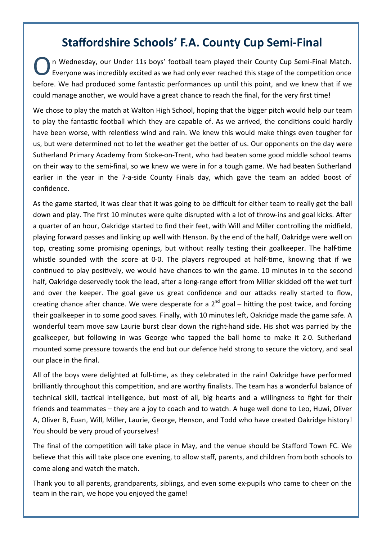#### **Staffordshire Schools' F.A. County Cup Semi-Final**

O n Wednesday, our Under 11s boys' football team played their County Cup Semi-Final Match. Everyone was incredibly excited as we had only ever reached this stage of the competition once before. We had produced some fantastic performances up until this point, and we knew that if we could manage another, we would have a great chance to reach the final, for the very first time!

We chose to play the match at Walton High School, hoping that the bigger pitch would help our team to play the fantastic football which they are capable of. As we arrived, the conditions could hardly have been worse, with relentless wind and rain. We knew this would make things even tougher for us, but were determined not to let the weather get the better of us. Our opponents on the day were Sutherland Primary Academy from Stoke-on-Trent, who had beaten some good middle school teams on their way to the semi-final, so we knew we were in for a tough game. We had beaten Sutherland earlier in the year in the 7-a-side County Finals day, which gave the team an added boost of confidence.

As the game started, it was clear that it was going to be difficult for either team to really get the ball down and play. The first 10 minutes were quite disrupted with a lot of throw-ins and goal kicks. After a quarter of an hour, Oakridge started to find their feet, with Will and Miller controlling the midfield, playing forward passes and linking up well with Henson. By the end of the half, Oakridge were well on top, creating some promising openings, but without really testing their goalkeeper. The half-time whistle sounded with the score at 0-0. The players regrouped at half-time, knowing that if we continued to play positively, we would have chances to win the game. 10 minutes in to the second half, Oakridge deservedly took the lead, after a long-range effort from Miller skidded off the wet turf and over the keeper. The goal gave us great confidence and our attacks really started to flow. creating chance after chance. We were desperate for a  $2^{nd}$  goal – hitting the post twice, and forcing their goalkeeper in to some good saves. Finally, with 10 minutes left, Oakridge made the game safe. A wonderful team move saw Laurie burst clear down the right-hand side. His shot was parried by the goalkeeper, but following in was George who tapped the ball home to make it 2-0. Sutherland mounted some pressure towards the end but our defence held strong to secure the victory, and seal our place in the final.

All of the boys were delighted at full-time, as they celebrated in the rain! Oakridge have performed brilliantly throughout this competition, and are worthy finalists. The team has a wonderful balance of technical skill, tactical intelligence, but most of all, big hearts and a willingness to fight for their friends and teammates – they are a joy to coach and to watch. A huge well done to Leo, Huwi, Oliver A, Oliver B, Euan, Will, Miller, Laurie, George, Henson, and Todd who have created Oakridge history! You should be very proud of yourselves!

The final of the competition will take place in May, and the venue should be Stafford Town FC. We believe that this will take place one evening, to allow staff, parents, and children from both schools to come along and watch the match.

Thank you to all parents, grandparents, siblings, and even some ex-pupils who came to cheer on the team in the rain, we hope you enjoyed the game!